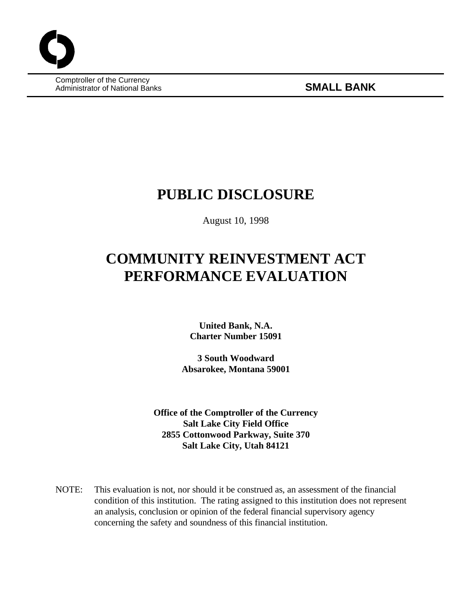Comptroller of the Currency Administrator of National Banks **SMALL BANK**

## **PUBLIC DISCLOSURE**

August 10, 1998

# **COMMUNITY REINVESTMENT ACT PERFORMANCE EVALUATION**

**United Bank, N.A. Charter Number 15091**

**3 South Woodward Absarokee, Montana 59001**

**Office of the Comptroller of the Currency Salt Lake City Field Office 2855 Cottonwood Parkway, Suite 370 Salt Lake City, Utah 84121**

NOTE: This evaluation is not, nor should it be construed as, an assessment of the financial condition of this institution. The rating assigned to this institution does not represent an analysis, conclusion or opinion of the federal financial supervisory agency concerning the safety and soundness of this financial institution.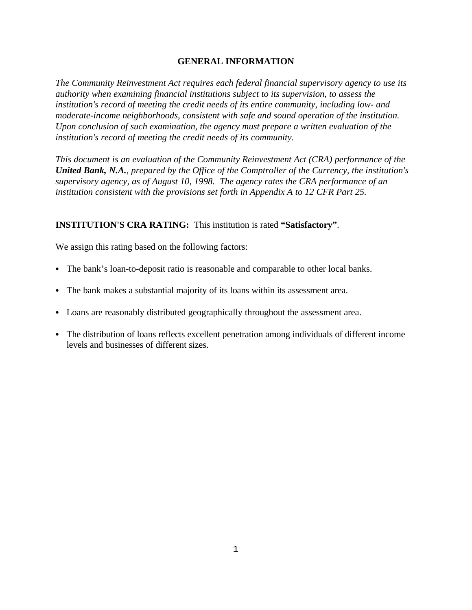#### **GENERAL INFORMATION**

*The Community Reinvestment Act requires each federal financial supervisory agency to use its authority when examining financial institutions subject to its supervision, to assess the institution's record of meeting the credit needs of its entire community, including low- and moderate-income neighborhoods, consistent with safe and sound operation of the institution. Upon conclusion of such examination, the agency must prepare a written evaluation of the institution's record of meeting the credit needs of its community.* 

*This document is an evaluation of the Community Reinvestment Act (CRA) performance of the United Bank, N.A., prepared by the Office of the Comptroller of the Currency, the institution's supervisory agency, as of August 10, 1998. The agency rates the CRA performance of an institution consistent with the provisions set forth in Appendix A to 12 CFR Part 25.*

#### **INSTITUTION'S CRA RATING:** This institution is rated **"Satisfactory"**.

We assign this rating based on the following factors:

- The bank's loan-to-deposit ratio is reasonable and comparable to other local banks.
- The bank makes a substantial majority of its loans within its assessment area.
- Loans are reasonably distributed geographically throughout the assessment area.
- The distribution of loans reflects excellent penetration among individuals of different income levels and businesses of different sizes.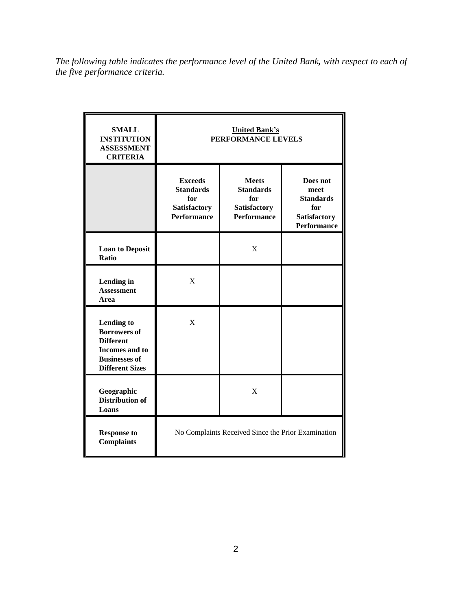*The following table indicates the performance level of the United Bank, with respect to each of the five performance criteria.*

| <b>SMALL</b><br><b>INSTITUTION</b><br><b>ASSESSMENT</b><br><b>CRITERIA</b>                                                              | <b>United Bank's</b><br>PERFORMANCE LEVELS                                             |                                                                                      |                                                                                          |
|-----------------------------------------------------------------------------------------------------------------------------------------|----------------------------------------------------------------------------------------|--------------------------------------------------------------------------------------|------------------------------------------------------------------------------------------|
|                                                                                                                                         | <b>Exceeds</b><br><b>Standards</b><br>for<br><b>Satisfactory</b><br><b>Performance</b> | <b>Meets</b><br><b>Standards</b><br>for<br><b>Satisfactory</b><br><b>Performance</b> | Does not<br>meet<br><b>Standards</b><br>for<br><b>Satisfactory</b><br><b>Performance</b> |
| <b>Loan to Deposit</b><br>Ratio                                                                                                         |                                                                                        | X                                                                                    |                                                                                          |
| Lending in<br><b>Assessment</b><br>Area                                                                                                 | X                                                                                      |                                                                                      |                                                                                          |
| <b>Lending to</b><br><b>Borrowers of</b><br><b>Different</b><br><b>Incomes</b> and to<br><b>Businesses of</b><br><b>Different Sizes</b> | X                                                                                      |                                                                                      |                                                                                          |
| Geographic<br><b>Distribution of</b><br>Loans                                                                                           |                                                                                        | X                                                                                    |                                                                                          |
| <b>Response to</b><br><b>Complaints</b>                                                                                                 | No Complaints Received Since the Prior Examination                                     |                                                                                      |                                                                                          |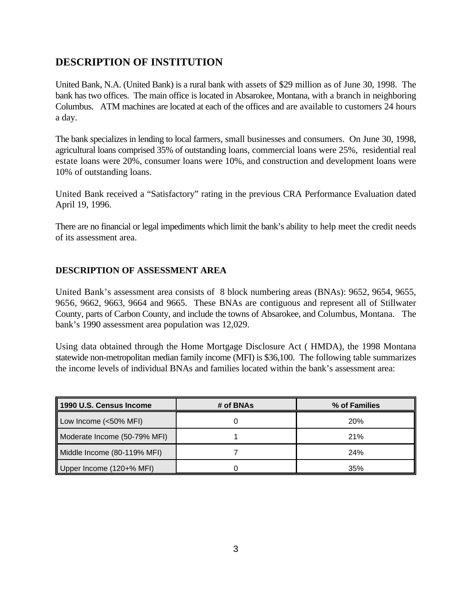## **DESCRIPTION OF INSTITUTION**

United Bank, N.A. (United Bank) is a rural bank with assets of \$29 million as of June 30, 1998. The bank has two offices. The main office is located in Absarokee, Montana, with a branch in neighboring Columbus. ATM machines are located at each of the offices and are available to customers 24 hours a day.

The bank specializes in lending to local farmers, small businesses and consumers. On June 30, 1998, agricultural loans comprised 35% of outstanding loans, commercial loans were 25%, residential real estate loans were 20%, consumer loans were 10%, and construction and development loans were 10% of outstanding loans.

United Bank received a "Satisfactory" rating in the previous CRA Performance Evaluation dated April 19, 1996.

There are no financial or legal impediments which limit the bank's ability to help meet the credit needs of its assessment area.

#### **DESCRIPTION OF ASSESSMENT AREA**

United Bank's assessment area consists of 8 block numbering areas (BNAs): 9652, 9654, 9655, 9656, 9662, 9663, 9664 and 9665. These BNAs are contiguous and represent all of Stillwater County, parts of Carbon County, and include the towns of Absarokee, and Columbus, Montana. The bank's 1990 assessment area population was 12,029.

Using data obtained through the Home Mortgage Disclosure Act ( HMDA), the 1998 Montana statewide non-metropolitan median family income (MFI) is \$36,100. The following table summarizes the income levels of individual BNAs and families located within the bank's assessment area:

| 1990 U.S. Census Income      | # of BNAs | % of Families |
|------------------------------|-----------|---------------|
| Low Income (<50% MFI)        |           | 20%           |
| Moderate Income (50-79% MFI) |           | 21%           |
| Middle Income (80-119% MFI)  |           | 24%           |
| Upper Income (120+% MFI)     |           | 35%           |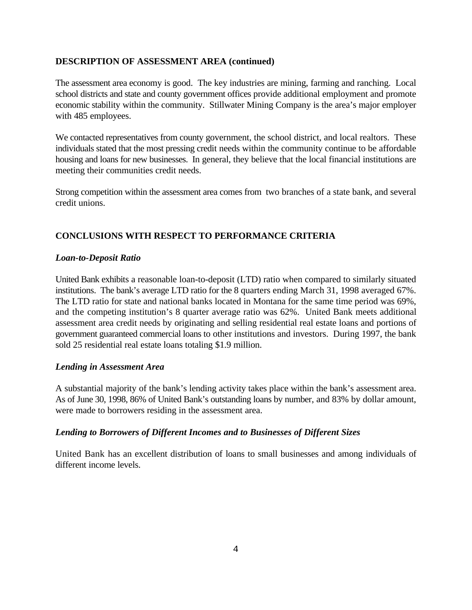#### **DESCRIPTION OF ASSESSMENT AREA (continued)**

The assessment area economy is good. The key industries are mining, farming and ranching. Local school districts and state and county government offices provide additional employment and promote economic stability within the community. Stillwater Mining Company is the area's major employer with 485 employees.

We contacted representatives from county government, the school district, and local realtors. These individuals stated that the most pressing credit needs within the community continue to be affordable housing and loans for new businesses. In general, they believe that the local financial institutions are meeting their communities credit needs.

Strong competition within the assessment area comes from two branches of a state bank, and several credit unions.

### **CONCLUSIONS WITH RESPECT TO PERFORMANCE CRITERIA**

#### *Loan-to-Deposit Ratio*

United Bank exhibits a reasonable loan-to-deposit (LTD) ratio when compared to similarly situated institutions. The bank's average LTD ratio for the 8 quarters ending March 31, 1998 averaged 67%. The LTD ratio for state and national banks located in Montana for the same time period was 69%, and the competing institution's 8 quarter average ratio was 62%. United Bank meets additional assessment area credit needs by originating and selling residential real estate loans and portions of government guaranteed commercial loans to other institutions and investors. During 1997, the bank sold 25 residential real estate loans totaling \$1.9 million.

#### *Lending in Assessment Area*

A substantial majority of the bank's lending activity takes place within the bank's assessment area. As of June 30, 1998, 86% of United Bank's outstanding loans by number, and 83% by dollar amount, were made to borrowers residing in the assessment area.

#### *Lending to Borrowers of Different Incomes and to Businesses of Different Sizes*

United Bank has an excellent distribution of loans to small businesses and among individuals of different income levels.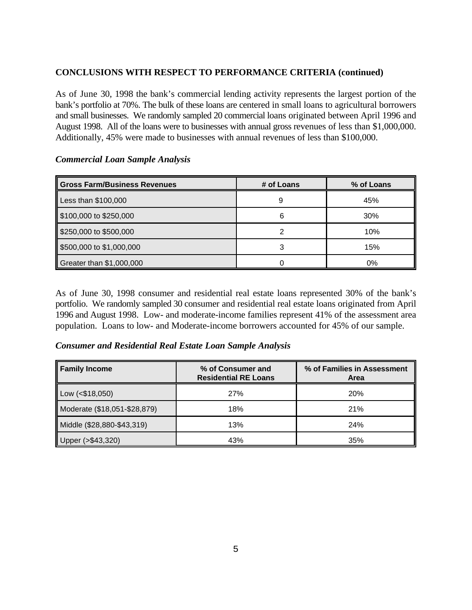### **CONCLUSIONS WITH RESPECT TO PERFORMANCE CRITERIA (continued)**

As of June 30, 1998 the bank's commercial lending activity represents the largest portion of the bank's portfolio at 70%. The bulk of these loans are centered in small loans to agricultural borrowers and small businesses. We randomly sampled 20 commercial loans originated between April 1996 and August 1998. All of the loans were to businesses with annual gross revenues of less than \$1,000,000. Additionally, 45% were made to businesses with annual revenues of less than \$100,000.

| Gross Farm/Business Revenues | # of Loans | % of Loans |
|------------------------------|------------|------------|
| Less than \$100,000          | 9          | 45%        |
| \$100,000 to \$250,000       | 6          | 30%        |
| \$250,000 to \$500,000       | 2          | 10%        |
| \$500,000 to \$1,000,000     | 3          | 15%        |
| Greater than \$1,000,000     |            | $0\%$      |

#### *Commercial Loan Sample Analysis*

As of June 30, 1998 consumer and residential real estate loans represented 30% of the bank's portfolio. We randomly sampled 30 consumer and residential real estate loans originated from April 1996 and August 1998. Low- and moderate-income families represent 41% of the assessment area population. Loans to low- and Moderate-income borrowers accounted for 45% of our sample.

#### *Consumer and Residential Real Estate Loan Sample Analysis*

| <b>Family Income</b>         | % of Consumer and<br><b>Residential RE Loans</b> | % of Families in Assessment<br>Area |
|------------------------------|--------------------------------------------------|-------------------------------------|
| $\vert$ Low (<\$18,050)      | 27%                                              | <b>20%</b>                          |
| Moderate (\$18,051-\$28,879) | 18%                                              | 21%                                 |
| Middle (\$28,880-\$43,319)   | 13%                                              | 24%                                 |
| 543,320)-<br>Il Upper (>     | 43%                                              | 35%                                 |